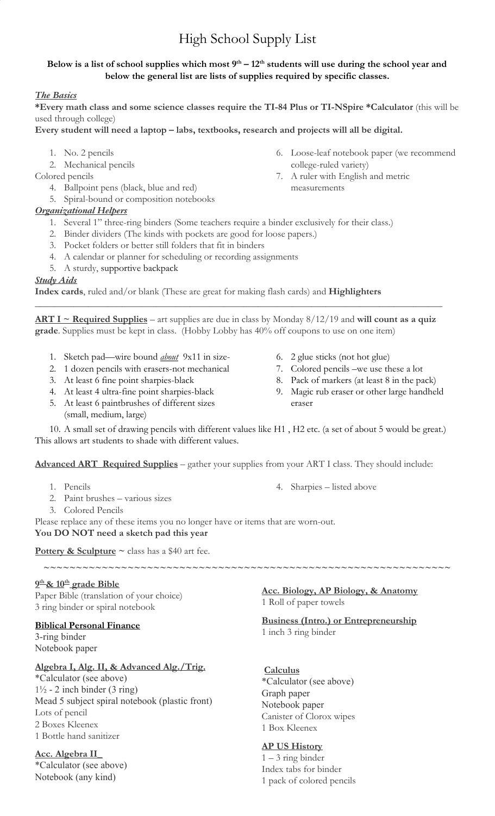# High School Supply List

## **Below is a list of school supplies which most 9th – 12th students will use during the school year and below the general list are lists of supplies required by specific classes.**

## *The Basics*

**\*Every math class and some science classes require the TI-84 Plus or TI-NSpire \*Calculator** (this will be used through college)

**Every student will need a laptop – labs, textbooks, research and projects will all be digital.**

- 1. No. 2 pencils
- 2. Mechanical pencils
- Colored pencils
	- 4. Ballpoint pens (black, blue and red)
	- 5. Spiral-bound or composition notebooks

## *Organizational Helpers*

- 1. Several 1" three-ring binders (Some teachers require a binder exclusively for their class.)
- 2. Binder dividers (The kinds with pockets are good for loose papers.)
- 3. Pocket folders or better still folders that fit in binders
- 4. A calendar or planner for scheduling or recording assignments
- 5. A sturdy, [supportive backpack](http://www.greatschools.org/gk/articles/tips-for-buying-a-backpack-and-carrying-it-safely)

#### *Study Aids*

**Index cards**, ruled and/or blank (These are great for making flash cards) and **Highlighters**

**ART I ~ Required Supplies** – art supplies are due in class by Monday 8/12/19 and **will count as a quiz grade**. Supplies must be kept in class. (Hobby Lobby has 40% off coupons to use on one item)

\_\_\_\_\_\_\_\_\_\_\_\_\_\_\_\_\_\_\_\_\_\_\_\_\_\_\_\_\_\_\_\_\_\_\_\_\_\_\_\_\_\_\_\_\_\_\_\_\_\_\_\_\_\_\_\_\_\_\_\_\_\_\_\_\_\_\_\_\_\_\_\_\_\_\_\_\_\_\_\_\_\_\_\_

- 1. Sketch pad—wire bound *about* 9x11 in size-
- 2. 1 dozen pencils with erasers-not mechanical
- 3. At least 6 fine point sharpies-black
- 4. At least 4 ultra-fine point sharpies-black
- 5. At least 6 paintbrushes of different sizes
- (small, medium, large)
- 6. 2 glue sticks (not hot glue)
- 7. Colored pencils –we use these a lot
- 8. Pack of markers (at least 8 in the pack)
- 9. Magic rub eraser or other large handheld eraser

6. Loose-leaf notebook paper (we recommend

college-ruled variety)

measurements

7. A ruler with English and metric

10. A small set of drawing pencils with different values like H1 , H2 etc. (a set of about 5 would be great.) This allows art students to shade with different values.

**Advanced ART Required Supplies** – gather your supplies from your ART I class. They should include:

- 1. Pencils
- 2. Paint brushes various sizes
- 3. Colored Pencils

4. Sharpies – listed above

Please replace any of these items you no longer have or items that are worn-out. **You DO NOT need a sketch pad this year**

**Pottery & Sculpture**  $\sim$  class has a \$40 art fee.

**9 th & 10th grade Bible** Paper Bible (translation of your choice) 3 ring binder or spiral notebook

#### **Biblical Personal Finance**

3-ring binder Notebook paper

## **Algebra I, Alg. II, & Advanced Alg./Trig.**

\*Calculator (see above)  $1\frac{1}{2}$  - 2 inch binder (3 ring) Mead 5 subject spiral notebook (plastic front) Lots of pencil 2 Boxes Kleenex 1 Bottle hand sanitizer

## **Acc. Algebra II\_**

\*Calculator (see above) Notebook (any kind)

**Acc. Biology, AP Biology, & Anatomy** 1 Roll of paper towels

#### **Business (Intro.) or Entrepreneurship** 1 inch 3 ring binder

## **Calculus**

**~~~~~~~~~~~~~~~~~~~~~~~~~~~~~~~~~~~~~~~~~~~~~~~~~~~~~~~~~~~~~~~**

\*Calculator (see above) Graph paper Notebook paper Canister of Clorox wipes 1 Box Kleenex

## **AP US History**

 $1 - 3$  ring binder Index tabs for binder 1 pack of colored pencils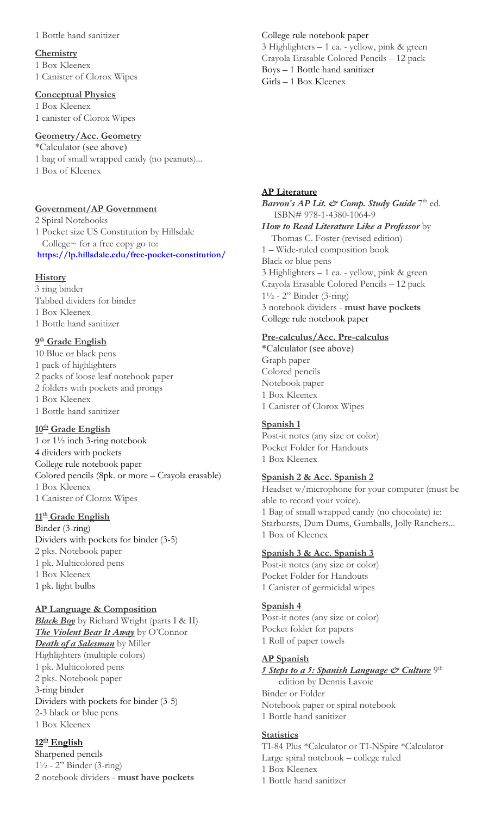#### 1 Bottle hand sanitizer

#### **Chemistry** 1 Box Kleenex 1 Canister of Clorox Wipes

#### **Conceptual Physics**

1 Box Kleenex 1 canister of Clorox Wipes

## **Geometry/Acc. Geometry**

\*Calculator (see above)

1 bag of small wrapped candy (no peanuts)...

1 Box of Kleenex

## **Government/AP Government**

2 Spiral Notebooks 1 Pocket size US Constitution by Hillsdale College~ for a free copy go to: **<https://lp.hillsdale.edu/free-pocket-constitution/>**

## **History**

3 ring binder Tabbed dividers for binder 1 Box Kleenex 1 Bottle hand sanitizer

## **9 th Grade English**

10 Blue or black pens 1 pack of highlighters 2 packs of loose leaf notebook paper 2 folders with pockets and prongs 1 Box Kleenex 1 Bottle hand sanitizer

## **10th Grade English**

1 or 1½ inch 3-ring notebook 4 dividers with pockets College rule notebook paper Colored pencils (8pk. or more – Crayola erasable) 1 Box Kleenex 1 Canister of Clorox Wipes

#### **11th Grade English**

Binder (3-ring) Dividers with pockets for binder (3-5) 2 pks. Notebook paper 1 pk. Multicolored pens 1 Box Kleenex 1 pk. light bulbs

## **AP Language & Composition**

*Black Boy* by Richard Wright (parts I & II) *The Violent Bear It Away* by O'Connor *Death of a Salesman* by Miller Highlighters (multiple colors) 1 pk. Multicolored pens 2 pks. Notebook paper 3-ring binder Dividers with pockets for binder (3-5) 2-3 black or blue pens 1 Box Kleenex

## **12th English**

Sharpened pencils 1½ - 2" Binder (3-ring) 2 notebook dividers - **must have pockets**

College rule notebook paper 3 Highlighters – 1 ea. - yellow, pink & green Crayola Erasable Colored Pencils – 12 pack Boys – 1 Bottle hand sanitizer Girls – 1 Box Kleenex

## **AP Literature**

Barron's AP Lit. & Comp. Study Guide 7<sup>th</sup> ed. ISBN# 978-1-4380-1064-9 *How to Read Literature Like a Professor* by Thomas C. Foster (revised edition) 1 – Wide-ruled composition book Black or blue pens 3 Highlighters – 1 ea. - yellow, pink & green Crayola Erasable Colored Pencils – 12 pack 1½ - 2" Binder (3-ring) 3 notebook dividers - **must have pockets** College rule notebook paper

## **Pre-calculus/Acc. Pre-calculus**

\*Calculator (see above) Graph paper Colored pencils Notebook paper 1 Box Kleenex 1 Canister of Clorox Wipes

#### **Spanish 1**

Post-it notes (any size or color) Pocket Folder for Handouts 1 Box Kleenex

## **Spanish 2 & Acc. Spanish 2**

Headset w/microphone for your computer (must be able to record your voice). 1 Bag of small wrapped candy (no chocolate) ie: Starbursts, Dum Dums, Gumballs, Jolly Ranchers... 1 Box of Kleenex

## **Spanish 3 & Acc. Spanish 3**

Post-it notes (any size or color) Pocket Folder for Handouts 1 Canister of germicidal wipes

#### **Spanish 4**

Post-it notes (any size or color) Pocket folder for papers 1 Roll of paper towels

#### **AP Spanish**

*5 Steps to a 5: Spanish Language & Culture* 9th

 edition by Dennis Lavoie Binder or Folder Notebook paper or spiral notebook 1 Bottle hand sanitizer

#### **Statistics**

TI-84 Plus \*Calculator or TI-NSpire \*Calculator Large spiral notebook – college ruled 1 Box Kleenex 1 Bottle hand sanitizer